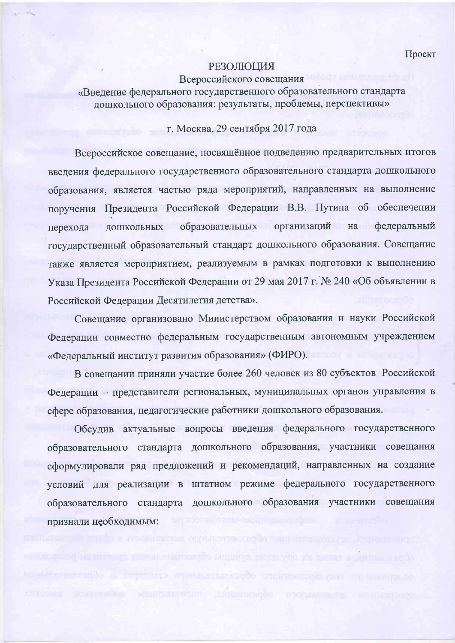Проект

## **РЕЗОЛЮЦИЯ**

## Всероссийского совещания

«Введение федерального государственного образовательного стандарта дошкольного образования: результаты, проблемы, перспективы»

## г. Москва, 29 сентября 2017 года

Всероссийское совещание, посвящённое подведению предварительных итогов введения федерального государственного образовательного стандарта дошкольного образования, является частью ряда мероприятий, направленных на выполнение поручения Президента Российской Федерации В.В. Путина об обеспечении образовательных организаций на федеральный ДОШКОЛЬНЫХ перехода государственный образовательный стандарт дошкольного образования. Совещание также является мероприятием, реализуемым в рамках подготовки к выполнению Указа Президента Российской Федерации от 29 мая 2017 г. № 240 «Об объявлении в Российской Федерации Десятилетия детства».

Совещание организовано Министерством образования и науки Российской Федерации совместно федеральным государственным автономным учреждением «Фелеральный институт развития образования» (ФИРО).

В совещании приняли участие более 260 человек из 80 субъектов Российской Федерации - представители региональных, муниципальных органов управления в сфере образования, педагогические работники дошкольного образования.

Обсудив актуальные вопросы введения федерального государственного образовательного стандарта дошкольного образования, участники совещания сформулировали ряд предложений и рекомендаций, направленных на создание условий для реализации в штатном режиме федерального государственного образовательного стандарта дошкольного образования участники совещания признали необходимым: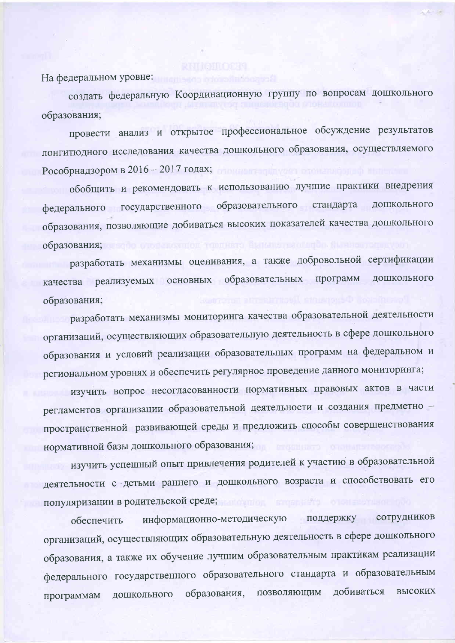На федеральном уровне:

создать федеральную Координационную группу по вопросам дошкольного образования;

провести анализ и открытое профессиональное обсуждение результатов лонгитюдного исследования качества дошкольного образования, осуществляемого Рособрнадзором в 2016 - 2017 годах;

обобщить и рекомендовать к использованию лучшие практики внедрения федерального государственного образовательного стандарта дошкольного образования, позволяющие добиваться высоких показателей качества дошкольного образования; и воро отопы очинот толдинга выпыта полити

разработать механизмы оценивания, а также добровольной сертификации качества реализуемых основных образовательных программ дошкольного образования;

разработать механизмы мониторинга качества образовательной деятельности организаций, осуществляющих образовательную деятельность в сфере дошкольного образования и условий реализации образовательных программ на федеральном и региональном уровнях и обеспечить регулярное проведение данного мониторинга;

изучить вопрос несогласованности нормативных правовых актов в части регламентов организации образовательной деятельности и создания предметно пространственной развивающей среды и предложить способы совершенствования нормативной базы дошкольного образования;

изучить успешный опыт привлечения родителей к участию в образовательной деятельности с детьми раннего и дошкольного возраста и способствовать его популяризации в родительской среде; поставил популяризации в родительской среде;

поддержку сотрудников информационно-методическую обеспечить организаций, осуществляющих образовательную деятельность в сфере дошкольного образования, а также их обучение лучшим образовательным практикам реализации федерального государственного образовательного стандарта и образовательным высоких позволяющим добиваться образования, дошкольного программам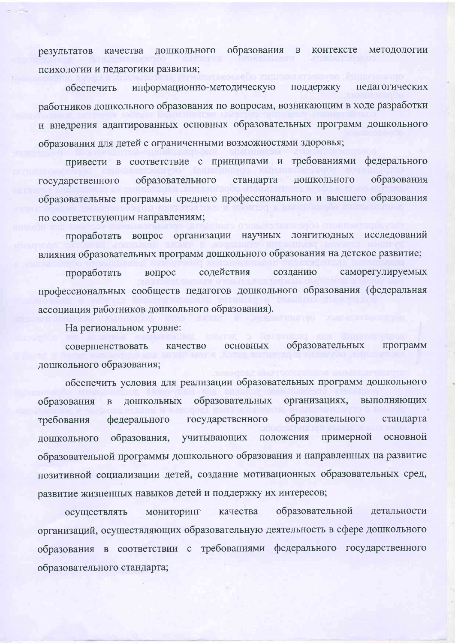образования контексте методологии качества дошкольного  $\, {\bf B} \,$ результатов психологии и педагогики развития;

педагогических обеспечить информационно-методическую поддержку работников дошкольного образования по вопросам, возникающим в ходе разработки и внедрения адаптированных основных образовательных программ дошкольного образования для детей с ограниченными возможностями здоровья;

привести в соответствие с принципами и требованиями федерального дошкольного образования образовательного стандарта государственного образовательные программы среднего профессионального и высшего образования по соответствующим направлениям;

вопрос организации научных лонгитюдных исследований проработать влияния образовательных программ дошкольного образования на детское развитие;

содействия саморегулируемых проработать вопрос созданию профессиональных сообществ педагогов дошкольного образования (федеральная ассоциация работников дошкольного образования).

На региональном уровне:

образовательных совершенствовать основных программ качество дошкольного образования;

обеспечить условия для реализации образовательных программ дошкольного образовательных организациях, выполняющих образования дошкольных  $\, {\bf B}$ образовательного государственного стандарта федерального требования учитывающих положения примерной основной дошкольного образования, образовательной программы дошкольного образования и направленных на развитие позитивной социализации детей, создание мотивационных образовательных сред, развитие жизненных навыков детей и поддержку их интересов;

образовательной качества детальности мониторинг осуществлять организаций, осуществляющих образовательную деятельность в сфере дошкольного образования в соответствии с требованиями федерального государственного образовательного стандарта;